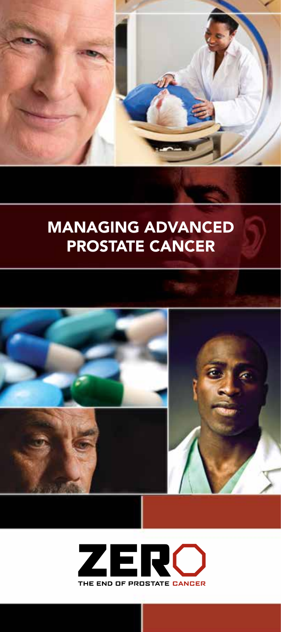

# MANAGING ADVANCED PROSTATE CANCER



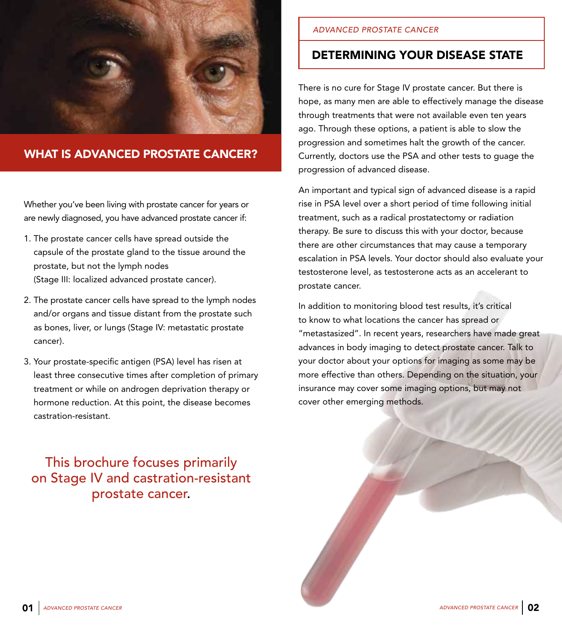

## WHAT IS ADVANCED PROSTATE CANCER?

Whether you've been living with prostate cancer for years or are newly diagnosed, you have advanced prostate cancer if:

- 1. The prostate cancer cells have spread outside the capsule of the prostate gland to the tissue around the prostate, but not the lymph nodes (Stage III: localized advanced prostate cancer).
- 2. The prostate cancer cells have spread to the lymph nodes and/or organs and tissue distant from the prostate such as bones, liver, or lungs (Stage IV: metastatic prostate cancer).
- 3. Your prostate-specific antigen (PSA) level has risen at least three consecutive times after completion of primary treatment or while on androgen deprivation therapy or hormone reduction. At this point, the disease becomes castration-resistant.

## This brochure focuses primarily on Stage IV and castration-resistant prostate cancer.

#### *ADVANCED PROSTATE CANCER*

## DETERMINING YOUR DISEASE STATE

There is no cure for Stage IV prostate cancer. But there is hope, as many men are able to effectively manage the disease through treatments that were not available even ten years ago. Through these options, a patient is able to slow the progression and sometimes halt the growth of the cancer. Currently, doctors use the PSA and other tests to guage the progression of advanced disease.

An important and typical sign of advanced disease is a rapid rise in PSA level over a short period of time following initial treatment, such as a radical prostatectomy or radiation therapy. Be sure to discuss this with your doctor, because there are other circumstances that may cause a temporary escalation in PSA levels. Your doctor should also evaluate your testosterone level, as testosterone acts as an accelerant to prostate cancer.

In addition to monitoring blood test results, it's critical to know to what locations the cancer has spread or "metastasized". In recent years, researchers have made great advances in body imaging to detect prostate cancer. Talk to your doctor about your options for imaging as some may be more effective than others. Depending on the situation, your insurance may cover some imaging options, but may not cover other emerging methods.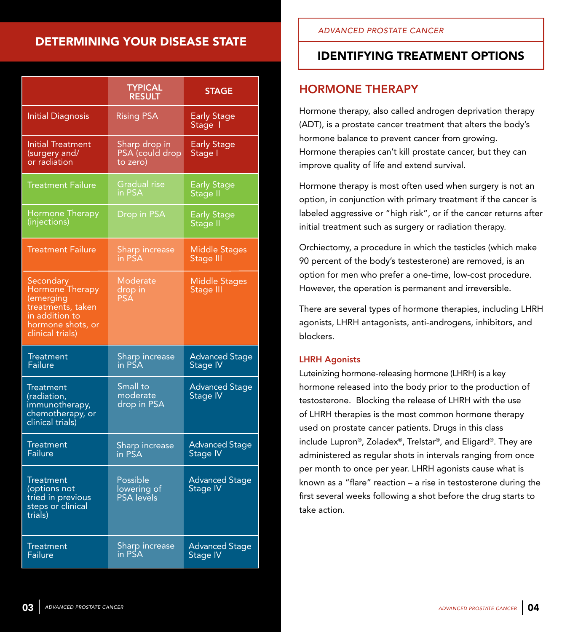## DETERMINING YOUR DISEASE STATE

|                                                                                                                           | <b>TYPICAL</b><br><b>RESULT</b>                     | <b>STAGE</b>                             |
|---------------------------------------------------------------------------------------------------------------------------|-----------------------------------------------------|------------------------------------------|
| <b>Initial Diagnosis</b>                                                                                                  | <b>Rising PSA</b>                                   | <b>Early Stage</b><br>Stage I            |
| <b>Initial Treatment</b><br>(surgery and/<br>or radiation                                                                 | Sharp drop in<br>PSA (could drop<br>to zero)        | <b>Early Stage</b><br>Stage I            |
| <b>Treatment Failure</b>                                                                                                  | <b>Gradual rise</b><br>in PSA                       | <b>Early Stage</b><br>Stage II           |
| Hormone Therapy<br>(injections)                                                                                           | Drop in PSA                                         | <b>Early Stage</b><br>Stage II           |
| <b>Treatment Failure</b>                                                                                                  | Sharp increase<br>in PSA                            | Middle Stages<br>Stage III               |
| Secondary<br>Hormone Therapy<br>(emerging<br>treatments, taken<br>in addition to<br>hormone shots, or<br>clinical trials) | Moderate<br>drop in<br><b>PSA</b>                   | <b>Middle Stages</b><br>Stage III        |
| Treatment<br>Failure                                                                                                      | Sharp increas <mark>e</mark><br>in PSA              | <b>Advanced Stage</b><br>Stage IV        |
| <b>Treatment</b><br>(radiation,<br>immunotherapy,<br>chemotherapy, or<br>clinical trials)                                 | Small to<br>moderate<br>drop in PSA                 | <b>Advanced Stage</b><br>Stage IV        |
| <b>Treatment</b><br>Failure                                                                                               | Sharp increase<br>in PSA                            | <b>Advanced Stage</b><br><b>Stage IV</b> |
| <b>Treatment</b><br>(options not<br>tried in previous<br>steps or clinical<br>trials)                                     | <b>Possible</b><br>lowering of<br><b>PSA</b> levels | <b>Advanced Stage</b><br><b>Stage IV</b> |
| <b>Treatment</b><br>Failure                                                                                               | Sharp increase<br>in PSA                            | <b>Advanced Stage</b><br><b>Stage IV</b> |

## IDENTIFYING TREATMENT OPTIONS

## HORMONE THERAPY

Hormone therapy, also called androgen deprivation therapy (ADT), is a prostate cancer treatment that alters the body's hormone balance to prevent cancer from growing. Hormone therapies can't kill prostate cancer, but they can improve quality of life and extend survival.

Hormone therapy is most often used when surgery is not an option, in conjunction with primary treatment if the cancer is labeled aggressive or "high risk", or if the cancer returns after initial treatment such as surgery or radiation therapy.

Orchiectomy, a procedure in which the testicles (which make 90 percent of the body's testesterone) are removed, is an option for men who prefer a one-time, low-cost procedure. However, the operation is permanent and irreversible.

There are several types of hormone therapies, including LHRH agonists, LHRH antagonists, anti-androgens, inhibitors, and blockers.

### LHRH Agonists

Luteinizing hormone-releasing hormone (LHRH) is a key hormone released into the body prior to the production of testosterone. Blocking the release of LHRH with the use of LHRH therapies is the most common hormone therapy used on prostate cancer patients. Drugs in this class include Lupron®, Zoladex®, Trelstar®, and Eligard®. They are administered as regular shots in intervals ranging from once per month to once per year. LHRH agonists cause what is known as a "flare" reaction – a rise in testosterone during the first several weeks following a shot before the drug starts to take action.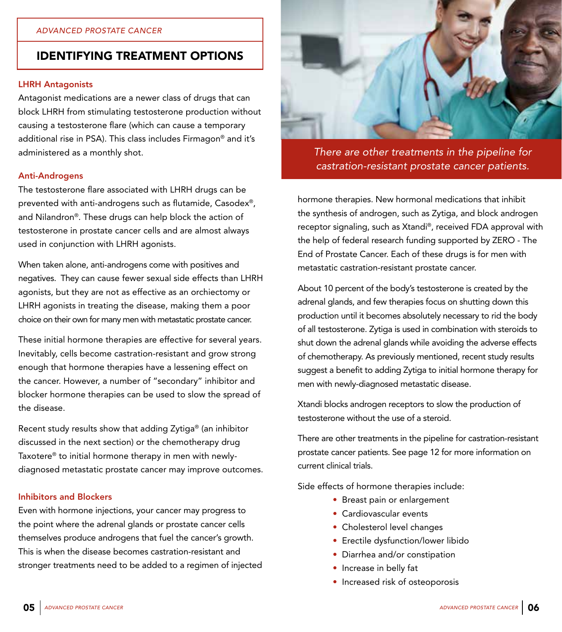#### LHRH Antagonists

Antagonist medications are a newer class of drugs that can block LHRH from stimulating testosterone production without causing a testosterone flare (which can cause a temporary additional rise in PSA). This class includes Firmagon® and it's administered as a monthly shot.

#### Anti-Androgens

The testosterone flare associated with LHRH drugs can be prevented with anti-androgens such as flutamide, Casodex®, and Nilandron®. These drugs can help block the action of testosterone in prostate cancer cells and are almost always used in conjunction with LHRH agonists.

When taken alone, anti-androgens come with positives and negatives. They can cause fewer sexual side effects than LHRH agonists, but they are not as effective as an orchiectomy or LHRH agonists in treating the disease, making them a poor choice on their own for many men with metastatic prostate cancer.

These initial hormone therapies are effective for several years. Inevitably, cells become castration-resistant and grow strong enough that hormone therapies have a lessening effect on the cancer. However, a number of "secondary" inhibitor and blocker hormone therapies can be used to slow the spread of the disease.

Recent study results show that adding Zytiga® (an inhibitor discussed in the next section) or the chemotherapy drug Taxotere® to initial hormone therapy in men with newlydiagnosed metastatic prostate cancer may improve outcomes.

#### Inhibitors and Blockers

Even with hormone injections, your cancer may progress to the point where the adrenal glands or prostate cancer cells themselves produce androgens that fuel the cancer's growth. This is when the disease becomes castration-resistant and stronger treatments need to be added to a regimen of injected



*There are other treatments in the pipeline for castration-resistant prostate cancer patients.* 

hormone therapies. New hormonal medications that inhibit the synthesis of androgen, such as Zytiga, and block androgen receptor signaling, such as Xtandi®, received FDA approval with the help of federal research funding supported by ZERO - The End of Prostate Cancer. Each of these drugs is for men with metastatic castration-resistant prostate cancer.

About 10 percent of the body's testosterone is created by the adrenal glands, and few therapies focus on shutting down this production until it becomes absolutely necessary to rid the body of all testosterone. Zytiga is used in combination with steroids to shut down the adrenal glands while avoiding the adverse effects of chemotherapy. As previously mentioned, recent study results suggest a benefit to adding Zytiga to initial hormone therapy for men with newly-diagnosed metastatic disease.

Xtandi blocks androgen receptors to slow the production of testosterone without the use of a steroid.

There are other treatments in the pipeline for castration-resistant prostate cancer patients. See page 12 for more information on current clinical trials.

Side effects of hormone therapies include:

- Breast pain or enlargement
- Cardiovascular events
- Cholesterol level changes
- Erectile dysfunction/lower libido
- Diarrhea and/or constipation
- Increase in belly fat
- Increased risk of osteoporosis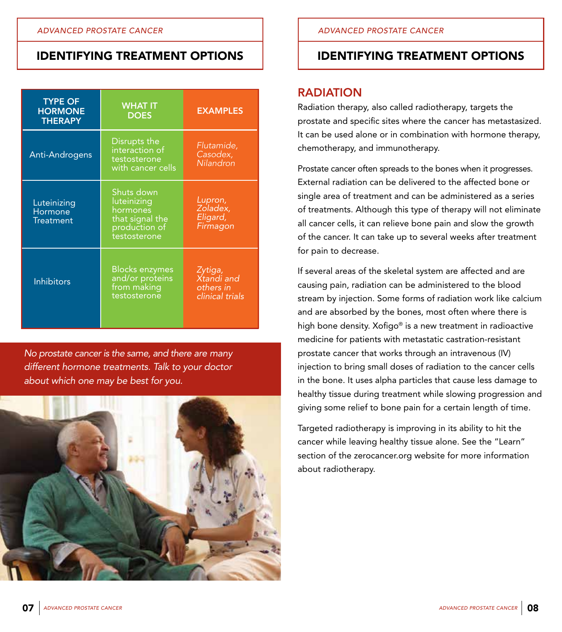| <b>TYPE OF</b><br><b>HORMONE</b><br><b>THERAPY</b> | <b>WHAT IT</b><br><b>DOES</b>                                                             | <b>EXAMPLES</b>                                       |
|----------------------------------------------------|-------------------------------------------------------------------------------------------|-------------------------------------------------------|
| Anti-Androgens                                     | Disrupts the<br>interaction of<br>testosterone<br>with cancer cells                       | Flutamide,<br>Casodex,<br>Nilandron                   |
| Luteinizing<br>Hormone<br><b>Treatment</b>         | Shuts down<br>luteinizing<br>hormones<br>that signal the<br>production of<br>testosterone | Lupron,<br>Zoladex,<br>Eligard,<br>Firmagon           |
| <b>Inhibitors</b>                                  | <b>Blocks enzymes</b><br>and/or proteins<br>from making<br>testosterone                   | Zytiga,<br>Xtandi and<br>others in<br>clinical trials |

*No prostate cancer is the same, and there are many different hormone treatments. Talk to your doctor about which one may be best for you.*



## IDENTIFYING TREATMENT OPTIONS

### RADIATION

Radiation therapy, also called radiotherapy, targets the prostate and specific sites where the cancer has metastasized. It can be used alone or in combination with hormone therapy, chemotherapy, and immunotherapy.

Prostate cancer often spreads to the bones when it progresses. External radiation can be delivered to the affected bone or single area of treatment and can be administered as a series of treatments. Although this type of therapy will not eliminate all cancer cells, it can relieve bone pain and slow the growth of the cancer. It can take up to several weeks after treatment for pain to decrease.

If several areas of the skeletal system are affected and are causing pain, radiation can be administered to the blood stream by injection. Some forms of radiation work like calcium and are absorbed by the bones, most often where there is high bone density. Xofigo<sup>®</sup> is a new treatment in radioactive medicine for patients with metastatic castration-resistant prostate cancer that works through an intravenous (IV) injection to bring small doses of radiation to the cancer cells in the bone. It uses alpha particles that cause less damage to healthy tissue during treatment while slowing progression and giving some relief to bone pain for a certain length of time.

Targeted radiotherapy is improving in its ability to hit the cancer while leaving healthy tissue alone. See the "Learn" section of the zerocancer.org website for more information about radiotherapy.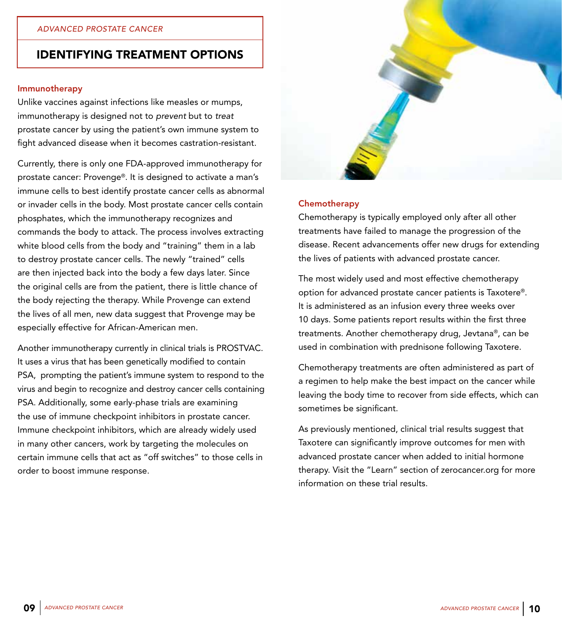#### Immunotherapy

Unlike vaccines against infections like measles or mumps, immunotherapy is designed not to *prevent* but to *treat*  prostate cancer by using the patient's own immune system to fight advanced disease when it becomes castration-resistant.

Currently, there is only one FDA-approved immunotherapy for prostate cancer: Provenge®. It is designed to activate a man's immune cells to best identify prostate cancer cells as abnormal or invader cells in the body. Most prostate cancer cells contain phosphates, which the immunotherapy recognizes and commands the body to attack. The process involves extracting white blood cells from the body and "training" them in a lab to destroy prostate cancer cells. The newly "trained" cells are then injected back into the body a few days later. Since the original cells are from the patient, there is little chance of the body rejecting the therapy. While Provenge can extend the lives of all men, new data suggest that Provenge may be especially effective for African-American men.

Another immunotherapy currently in clinical trials is PROSTVAC. It uses a virus that has been genetically modified to contain PSA, prompting the patient's immune system to respond to the virus and begin to recognize and destroy cancer cells containing PSA. Additionally, some early-phase trials are examining the use of immune checkpoint inhibitors in prostate cancer. Immune checkpoint inhibitors, which are already widely used in many other cancers, work by targeting the molecules on certain immune cells that act as "off switches" to those cells in order to boost immune response.



#### **Chemotherapy**

Chemotherapy is typically employed only after all other treatments have failed to manage the progression of the disease. Recent advancements offer new drugs for extending the lives of patients with advanced prostate cancer.

The most widely used and most effective chemotherapy option for advanced prostate cancer patients is Taxotere®. It is administered as an infusion every three weeks over 10 days. Some patients report results within the first three treatments. Another chemotherapy drug, Jevtana®, can be used in combination with prednisone following Taxotere.

Chemotherapy treatments are often administered as part of a regimen to help make the best impact on the cancer while leaving the body time to recover from side effects, which can sometimes be significant.

As previously mentioned, clinical trial results suggest that Taxotere can significantly improve outcomes for men with advanced prostate cancer when added to initial hormone therapy. Visit the "Learn" section of zerocancer.org for more information on these trial results.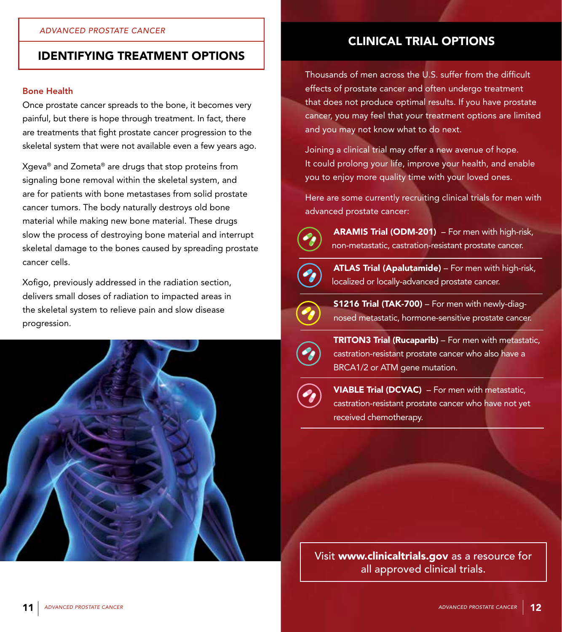#### Bone Health

Once prostate cancer spreads to the bone, it becomes very painful, but there is hope through treatment. In fact, there are treatments that fight prostate cancer progression to the skeletal system that were not available even a few years ago.

Xgeva® and Zometa® are drugs that stop proteins from signaling bone removal within the skeletal system, and are for patients with bone metastases from solid prostate cancer tumors. The body naturally destroys old bone material while making new bone material. These drugs slow the process of destroying bone material and interrupt skeletal damage to the bones caused by spreading prostate cancer cells.

Xofigo, previously addressed in the radiation section, delivers small doses of radiation to impacted areas in the skeletal system to relieve pain and slow disease progression.



## CLINICAL TRIAL OPTIONS

Thousands of men across the U.S. suffer from the difficult effects of prostate cancer and often undergo treatment that does not produce optimal results. If you have prostate cancer, you may feel that your treatment options are limited and you may not know what to do next.

Joining a clinical trial may offer a new avenue of hope. It could prolong your life, improve your health, and enable you to enjoy more quality time with your loved ones.

Here are some currently recruiting clinical trials for men with advanced prostate cancer:



ARAMIS Trial (ODM-201) – For men with high-risk, non-metastatic, castration-resistant prostate cancer.



ATLAS Trial (Apalutamide) - For men with high-risk, localized or locally-advanced prostate cancer.



S1216 Trial (TAK-700) – For men with newly-diag nosed metastatic, hormone-sensitive prostate cancer.



**TRITON3 Trial (Rucaparib)** – For men with metastatic, castration-resistant prostate cancer who also have a BRCA1/2 or ATM gene mutation.



 VIABLE Trial (DCVAC) – For men with metastatic, castration-resistant prostate cancer who have not yet received chemotherapy.

Visit www.clinicaltrials.gov as a resource for all approved clinical trials.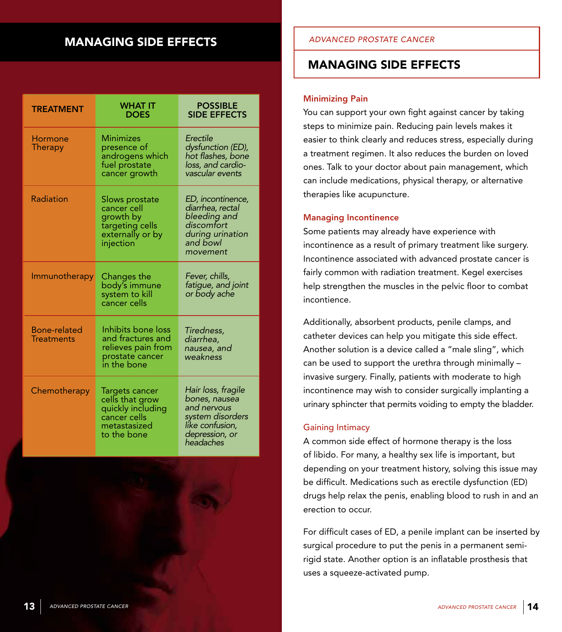## MANAGING SIDE EFFECTS

| <b>TREATMENT</b>                         | WHAT IT<br>DOES                                                                                       | <b>POSSIBLE</b><br><b>SIDE EFFECTS</b>                                                                                   |
|------------------------------------------|-------------------------------------------------------------------------------------------------------|--------------------------------------------------------------------------------------------------------------------------|
| Hormone<br>Therapy                       | <b>Minimizes</b><br>presence of<br>androgens which<br>fuel prostate<br>cancer growth                  | Erectile<br>dysfunction (ED),<br>hot flashes, bone<br>loss, and cardio-<br>vascular events                               |
| Radiation                                | Slows prostate<br>cancer cell<br>growth by<br>targeting cells<br>externally or by<br>injection        | ED, incontinence,<br>diarrhea, rectal<br>bleeding and<br>discomfort<br>during urination<br>and bowl<br>movement          |
| Immunotherapy                            | Changes the<br>body's immune<br>system to kill<br>cancer cells                                        | Fever, chills,<br>fatigue, and joint<br>or body ache                                                                     |
| <b>Bone-related</b><br><b>Treatments</b> | Inhibits bone loss<br>and fractures and<br>relieves pain from<br>prostate cancer<br>in the bone       | Tiredness,<br>diarrhea.<br>nausea, and<br>weakness                                                                       |
| Chemotherapy                             | Targets cancer<br>cells that grow<br>quickly including<br>cancer cells<br>metastasized<br>to the bone | Hair loss, fragile<br>bones, nausea<br>and nervous<br>system disorders<br>like confusion,<br>depression, or<br>headaches |

#### *ADVANCED PROSTATE CANCER*

### MANAGING SIDE EFFECTS

#### Minimizing Pain

You can support your own fight against cancer by taking steps to minimize pain. Reducing pain levels makes it easier to think clearly and reduces stress, especially during a treatment regimen. It also reduces the burden on loved ones. Talk to your doctor about pain management, which can include medications, physical therapy, or alternative therapies like acupuncture.

#### Managing Incontinence

Some patients may already have experience with incontinence as a result of primary treatment like surgery. Incontinence associated with advanced prostate cancer is fairly common with radiation treatment. Kegel exercises help strengthen the muscles in the pelvic floor to combat incontience.

Additionally, absorbent products, penile clamps, and catheter devices can help you mitigate this side effect. Another solution is a device called a "male sling", which can be used to support the urethra through minimally – invasive surgery. Finally, patients with moderate to high incontinence may wish to consider surgically implanting a urinary sphincter that permits voiding to empty the bladder.

#### Gaining Intimacy

A common side effect of hormone therapy is the loss of libido. For many, a healthy sex life is important, but depending on your treatment history, solving this issue may be difficult. Medications such as erectile dysfunction (ED) drugs help relax the penis, enabling blood to rush in and an erection to occur.

For difficult cases of ED, a penile implant can be inserted by surgical procedure to put the penis in a permanent semirigid state. Another option is an inflatable prosthesis that uses a squeeze-activated pump.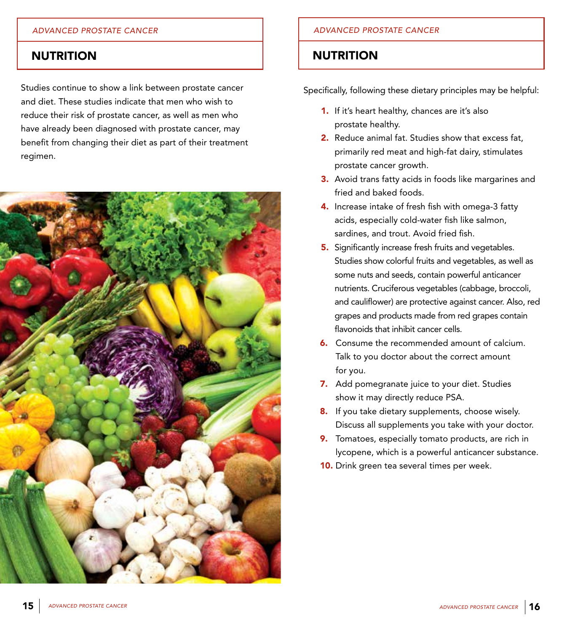#### *ADVANCED PROSTATE CANCER*

### **NUTRITION**

Studies continue to show a link between prostate cancer and diet. These studies indicate that men who wish to reduce their risk of prostate cancer, as well as men who have already been diagnosed with prostate cancer, may benefit from changing their diet as part of their treatment regimen.



#### *ADVANCED PROSTATE CANCER*

### **NUTRITION**

Specifically, following these dietary principles may be helpful:

- 1. If it's heart healthy, chances are it's also prostate healthy.
- 2. Reduce animal fat. Studies show that excess fat. primarily red meat and high-fat dairy, stimulates prostate cancer growth.
- **3.** Avoid trans fatty acids in foods like margarines and fried and baked foods.
- 4. Increase intake of fresh fish with omega-3 fatty acids, especially cold-water fish like salmon, sardines, and trout. Avoid fried fish.
- **5.** Significantly increase fresh fruits and vegetables. Studies show colorful fruits and vegetables, as well as some nuts and seeds, contain powerful anticancer nutrients. Cruciferous vegetables (cabbage, broccoli, and cauliflower) are protective against cancer. Also, red grapes and products made from red grapes contain flavonoids that inhibit cancer cells.
- **6.** Consume the recommended amount of calcium. Talk to you doctor about the correct amount for you.
- 7. Add pomegranate juice to your diet. Studies show it may directly reduce PSA.
- 8. If you take dietary supplements, choose wisely. Discuss all supplements you take with your doctor.
- 9. Tomatoes, especially tomato products, are rich in lycopene, which is a powerful anticancer substance.
- **10.** Drink green tea several times per week.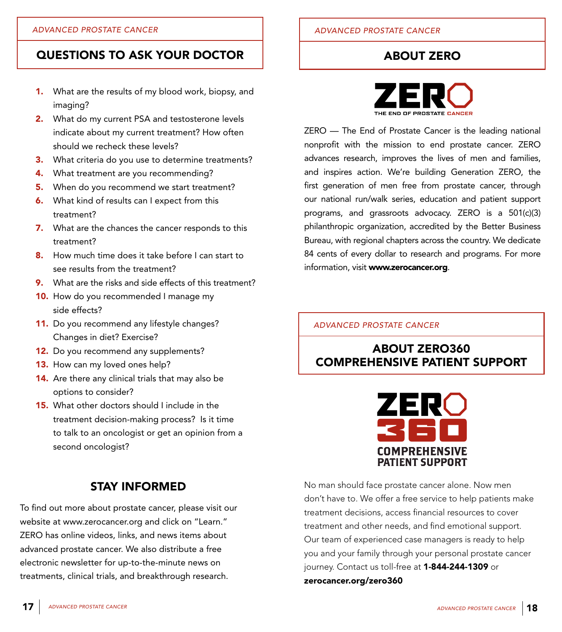- 1. What are the results of my blood work, biopsy, and imaging?
- 2. What do my current PSA and testosterone levels indicate about my current treatment? How often should we recheck these levels?
- **3.** What criteria do you use to determine treatments?
- 4. What treatment are you recommending?
- **5.** When do you recommend we start treatment?
- **6.** What kind of results can I expect from this treatment?
- 7. What are the chances the cancer responds to this treatment?
- 8. How much time does it take before I can start to see results from the treatment?
- **9.** What are the risks and side effects of this treatment?
- 10. How do you recommended I manage my side effects?
- 11. Do you recommend any lifestyle changes? Changes in diet? Exercise?
- 12. Do you recommend any supplements?
- 13. How can my loved ones help?
- 14. Are there any clinical trials that may also be options to consider?
- **15.** What other doctors should I include in the treatment decision-making process? Is it time to talk to an oncologist or get an opinion from a second oncologist?

## STAY INFORMED

To find out more about prostate cancer, please visit our website at www.zerocancer.org and click on "Learn." ZERO has online videos, links, and news items about advanced prostate cancer. We also distribute a free electronic newsletter for up-to-the-minute news on treatments, clinical trials, and breakthrough research.

## ABOUT ZERO



ZERO — The End of Prostate Cancer is the leading national nonprofit with the mission to end prostate cancer. ZERO advances research, improves the lives of men and families, and inspires action. We're building Generation ZERO, the first generation of men free from prostate cancer, through our national run/walk series, education and patient support programs, and grassroots advocacy. ZERO is a 501(c)(3) philanthropic organization, accredited by the Better Business Bureau, with regional chapters across the country. We dedicate 84 cents of every dollar to research and programs. For more information, visit www.zerocancer.org.

### *ADVANCED PROSTATE CANCER*

## ABOUT ZERO360 COMPREHENSIVE PATIENT SUPPORT



No man should face prostate cancer alone. Now men don't have to. We offer a free service to help patients make treatment decisions, access financial resources to cover treatment and other needs, and find emotional support. Our team of experienced case managers is ready to help you and your family through your personal prostate cancer journey. Contact us toll-free at 1-844-244-1309 or zerocancer.org/zero360